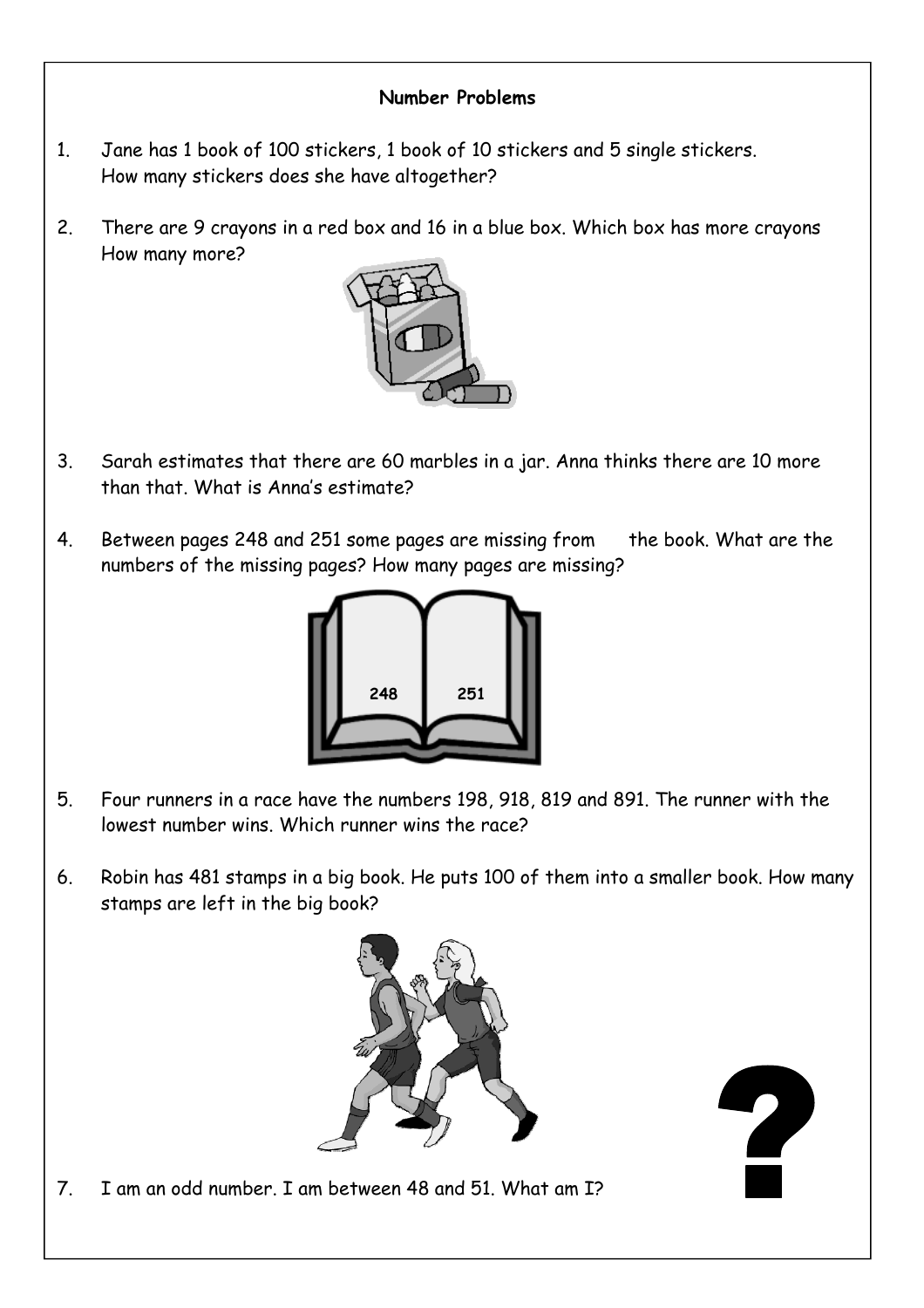#### **Number Problems**

- 1. Jane has 1 book of 100 stickers, 1 book of 10 stickers and 5 single stickers. How many stickers does she have altogether?
- 2. There are 9 crayons in a red box and 16 in a blue box. Which box has more crayons How many more?



- 3. Sarah estimates that there are 60 marbles in a jar. Anna thinks there are 10 more than that. What is Anna's estimate?
- 4. Between pages 248 and 251 some pages are missing from the book. What are the numbers of the missing pages? How many pages are missing?



- 5. Four runners in a race have the numbers 198, 918, 819 and 891. The runner with the lowest number wins. Which runner wins the race?
- 6. Robin has 481 stamps in a big book. He puts 100 of them into a smaller book. How many stamps are left in the big book?





7. I am an odd number. I am between 48 and 51. What am I?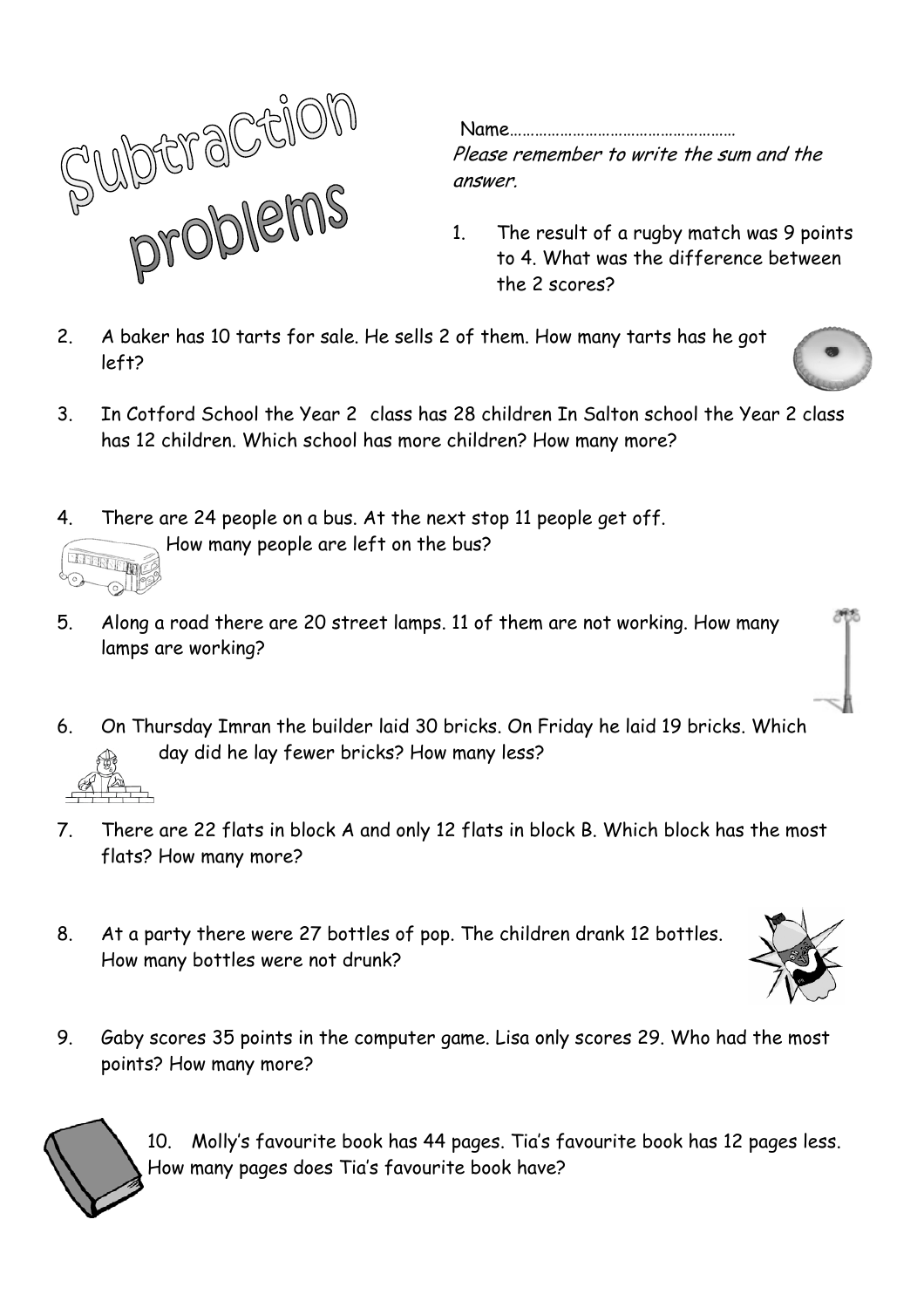

 Name………………………………………………  $\text{P}$   $\text{P}$   $\text{P}$   $\text{P}$   $\text{P}$   $\text{P}$   $\text{P}$   $\text{P}$   $\text{P}$   $\text{P}$   $\text{P}$   $\text{P}$   $\text{P}$   $\text{P}$   $\text{P}$   $\text{P}$   $\text{P}$   $\text{P}$   $\text{P}$   $\text{P}$   $\text{P}$   $\text{P}$   $\text{P}$   $\text{P}$   $\text{P}$   $\text{P}$   $\text{P}$   $\text{P$ 

- 1. The result of a rugby match was 9 points  $\bigcup \mathbb{U} \subset \mathbb{V}$  is a contract to 4. What was the difference between
- 2. A baker has 10 tarts for sale. He sells 2 of them. How many tarts has he got left?



3. In Cotford School the Year 2 class has 28 children In Salton school the Year 2 class has 12 children. Which school has more children? How many more?



- 5. Along a road there are 20 street lamps. 11 of them are not working. How many lamps are working?
- 6. On Thursday Imran the builder laid 30 bricks. On Friday he laid 19 bricks. Which day did he lay fewer bricks? How many less?
- 7. There are 22 flats in block A and only 12 flats in block B. Which block has the most flats? How many more?
- 8. At a party there were 27 bottles of pop. The children drank 12 bottles. How many bottles were not drunk?



9. Gaby scores 35 points in the computer game. Lisa only scores 29. Who had the most points? How many more?



10. Molly's favourite book has 44 pages. Tia's favourite book has 12 pages less. How many pages does Tia's favourite book have?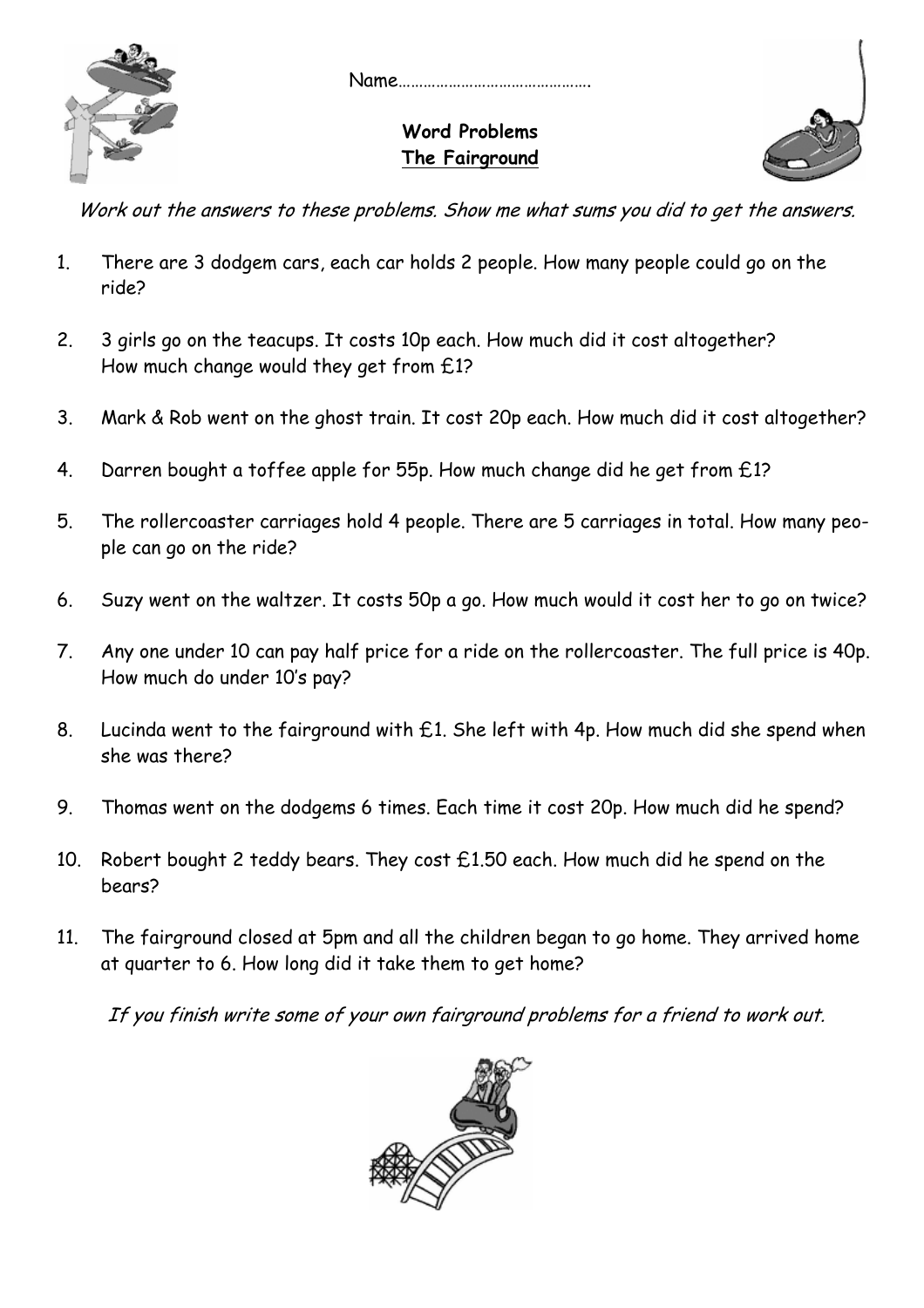

Name……………………………………….

## **Word Problems The Fairground**



Work out the answers to these problems. Show me what sums you did to get the answers.

- 1. There are 3 dodgem cars, each car holds 2 people. How many people could go on the ride?
- 2. 3 girls go on the teacups. It costs 10p each. How much did it cost altogether? How much change would they get from £1?
- 3. Mark & Rob went on the ghost train. It cost 20p each. How much did it cost altogether?
- 4. Darren bought a toffee apple for 55p. How much change did he get from £1?
- 5. The rollercoaster carriages hold 4 people. There are 5 carriages in total. How many people can go on the ride?
- 6. Suzy went on the waltzer. It costs 50p a go. How much would it cost her to go on twice?
- 7. Any one under 10 can pay half price for a ride on the rollercoaster. The full price is 40p. How much do under 10's pay?
- 8. Lucinda went to the fairground with £1. She left with 4p. How much did she spend when she was there?
- 9. Thomas went on the dodgems 6 times. Each time it cost 20p. How much did he spend?
- 10. Robert bought 2 teddy bears. They cost £1.50 each. How much did he spend on the bears?
- 11. The fairground closed at 5pm and all the children began to go home. They arrived home at quarter to 6. How long did it take them to get home?

If you finish write some of your own fairground problems for a friend to work out.

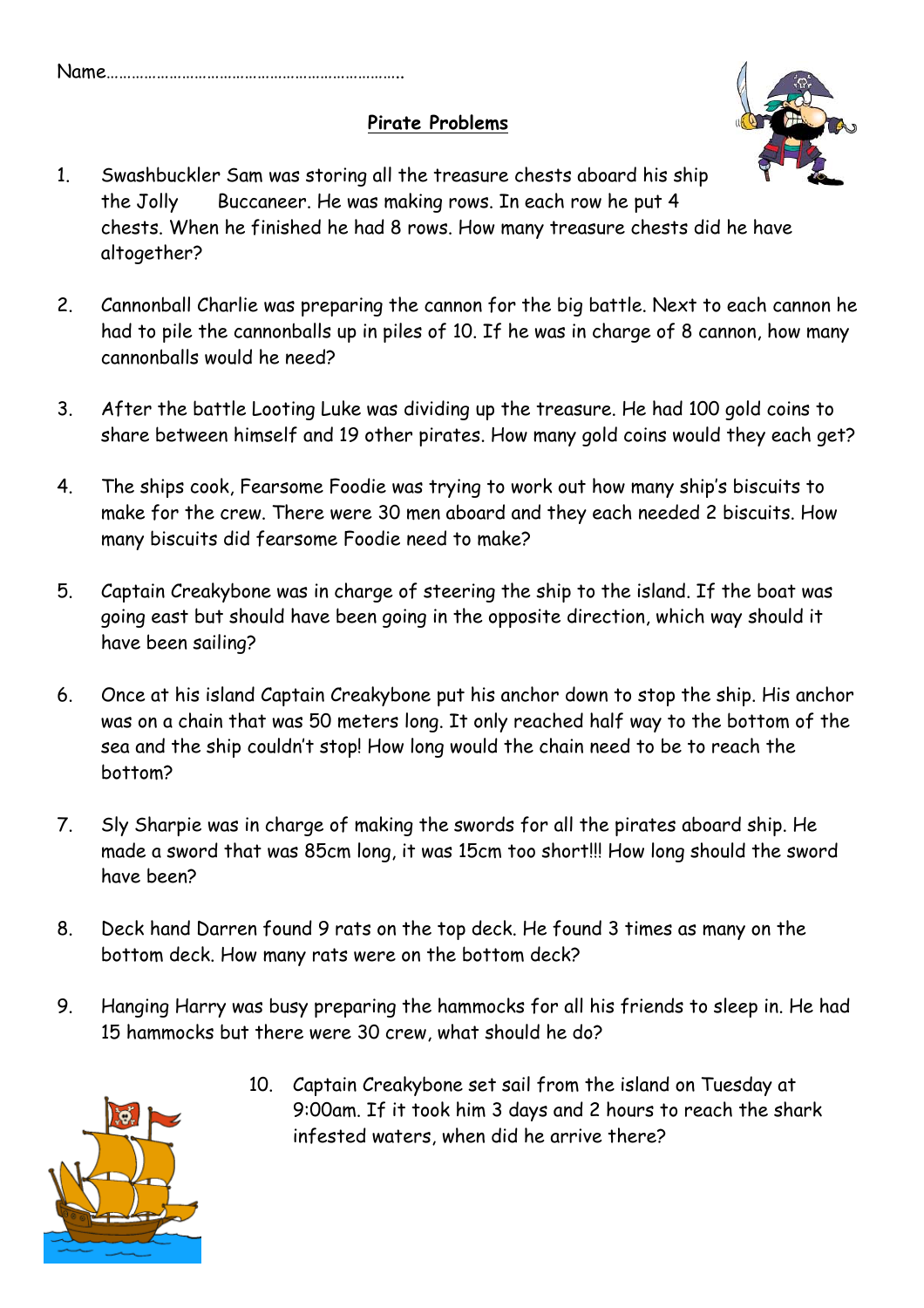#### **Pirate Problems**



- 1. Swashbuckler Sam was storing all the treasure chests aboard his ship the Jolly Buccaneer. He was making rows. In each row he put 4 chests. When he finished he had 8 rows. How many treasure chests did he have altogether?
- 2. Cannonball Charlie was preparing the cannon for the big battle. Next to each cannon he had to pile the cannonballs up in piles of 10. If he was in charge of 8 cannon, how many cannonballs would he need?
- 3. After the battle Looting Luke was dividing up the treasure. He had 100 gold coins to share between himself and 19 other pirates. How many gold coins would they each get?
- 4. The ships cook, Fearsome Foodie was trying to work out how many ship's biscuits to make for the crew. There were 30 men aboard and they each needed 2 biscuits. How many biscuits did fearsome Foodie need to make?
- 5. Captain Creakybone was in charge of steering the ship to the island. If the boat was going east but should have been going in the opposite direction, which way should it have been sailing?
- 6. Once at his island Captain Creakybone put his anchor down to stop the ship. His anchor was on a chain that was 50 meters long. It only reached half way to the bottom of the sea and the ship couldn't stop! How long would the chain need to be to reach the bottom?
- 7. Sly Sharpie was in charge of making the swords for all the pirates aboard ship. He made a sword that was 85cm long, it was 15cm too short!!! How long should the sword have been?
- 8. Deck hand Darren found 9 rats on the top deck. He found 3 times as many on the bottom deck. How many rats were on the bottom deck?
- 9. Hanging Harry was busy preparing the hammocks for all his friends to sleep in. He had 15 hammocks but there were 30 crew, what should he do?



 10. Captain Creakybone set sail from the island on Tuesday at 9:00am. If it took him 3 days and 2 hours to reach the shark infested waters, when did he arrive there?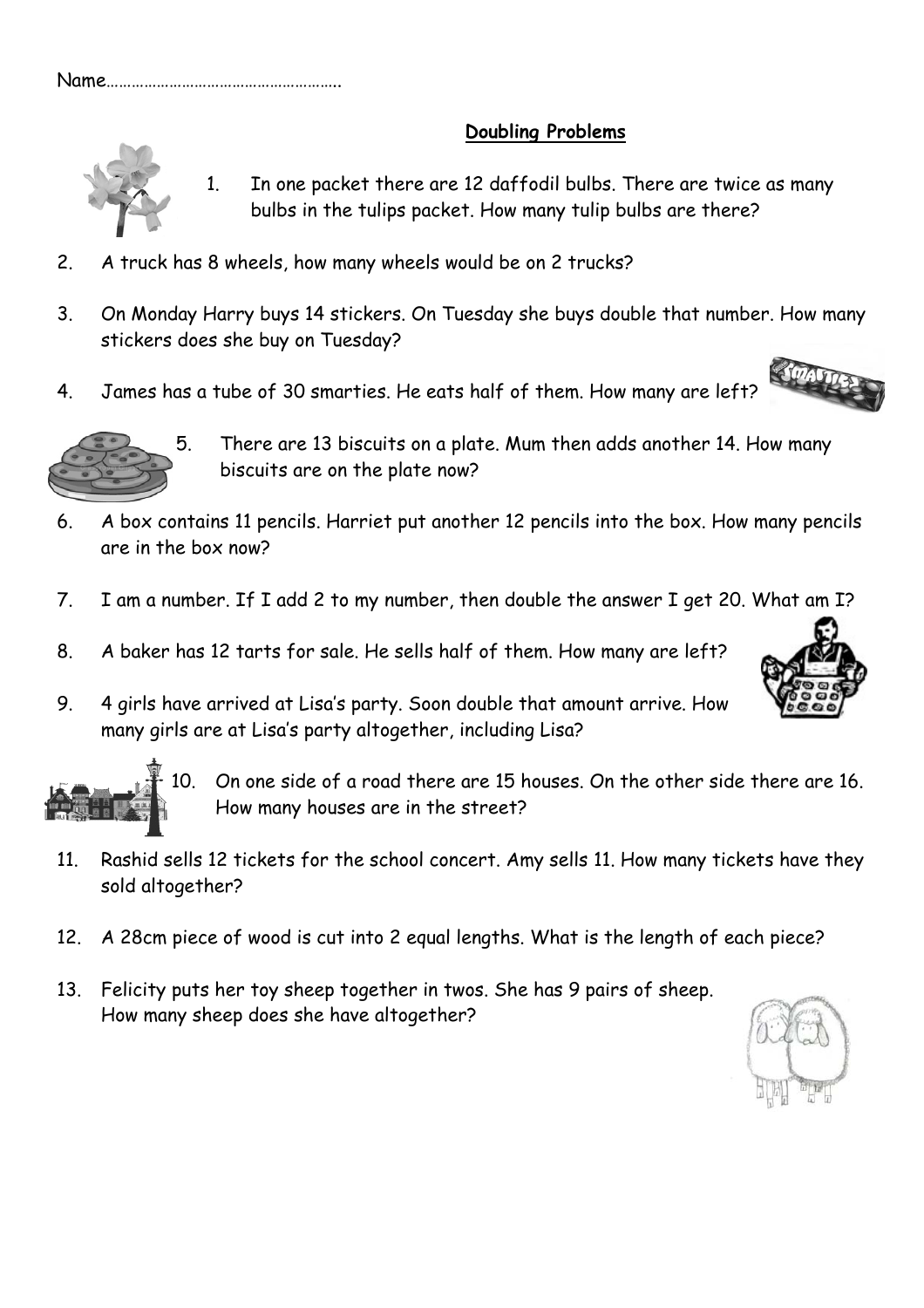## **Doubling Problems**



1. In one packet there are 12 daffodil bulbs. There are twice as many bulbs in the tulips packet. How many tulip bulbs are there?

- 2. A truck has 8 wheels, how many wheels would be on 2 trucks?
- 3. On Monday Harry buys 14 stickers. On Tuesday she buys double that number. How many stickers does she buy on Tuesday?
- 4. James has a tube of 30 smarties. He eats half of them. How many are left?



5. There are 13 biscuits on a plate. Mum then adds another 14. How many biscuits are on the plate now?

- 6. A box contains 11 pencils. Harriet put another 12 pencils into the box. How many pencils are in the box now?
- 7. I am a number. If I add 2 to my number, then double the answer I get 20. What am I?
- 8. A baker has 12 tarts for sale. He sells half of them. How many are left?
- 9. 4 girls have arrived at Lisa's party. Soon double that amount arrive. How many girls are at Lisa's party altogether, including Lisa?





10. On one side of a road there are 15 houses. On the other side there are 16. How many houses are in the street?

- 11. Rashid sells 12 tickets for the school concert. Amy sells 11. How many tickets have they sold altogether?
- 12. A 28cm piece of wood is cut into 2 equal lengths. What is the length of each piece?
- 13. Felicity puts her toy sheep together in twos. She has 9 pairs of sheep. How many sheep does she have altogether?

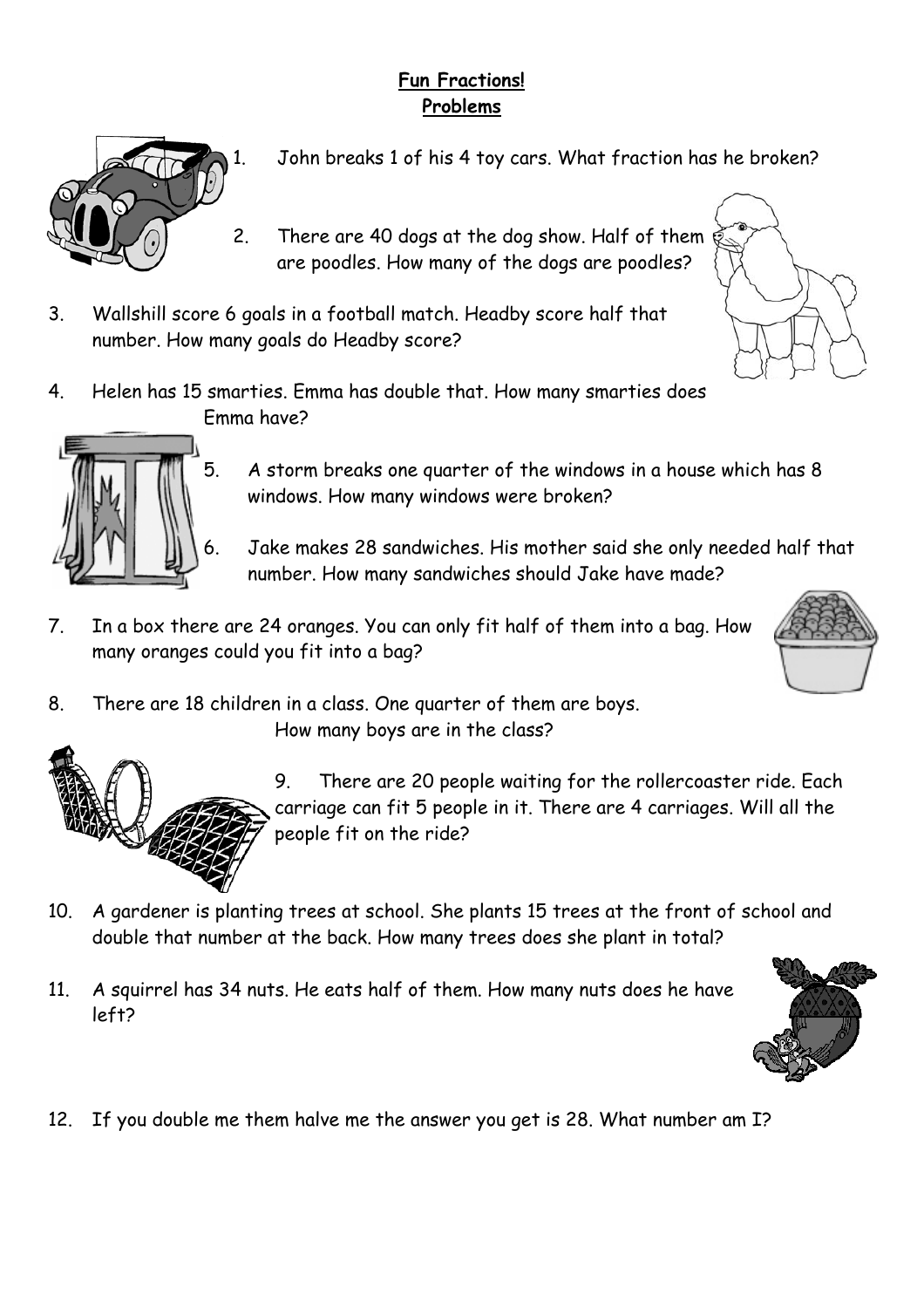# **Fun Fractions! Problems**



- John breaks 1 of his 4 toy cars. What fraction has he broken?
- 2. There are 40 dogs at the dog show. Half of them are poodles. How many of the dogs are poodles?
- 3. Wallshill score 6 goals in a football match. Headby score half that number. How many goals do Headby score?
- 4. Helen has 15 smarties. Emma has double that. How many smarties does Emma have?



- 5. A storm breaks one quarter of the windows in a house which has 8 windows. How many windows were broken?
- 6. Jake makes 28 sandwiches. His mother said she only needed half that number. How many sandwiches should Jake have made?
- 7. In a box there are 24 oranges. You can only fit half of them into a bag. How many oranges could you fit into a bag?
- 8. There are 18 children in a class. One quarter of them are boys. How many boys are in the class?



9. There are 20 people waiting for the rollercoaster ride. Each carriage can fit 5 people in it. There are 4 carriages. Will all the people fit on the ride?

- 10. A gardener is planting trees at school. She plants 15 trees at the front of school and double that number at the back. How many trees does she plant in total?
- 11. A squirrel has 34 nuts. He eats half of them. How many nuts does he have left?



12. If you double me them halve me the answer you get is 28. What number am I?

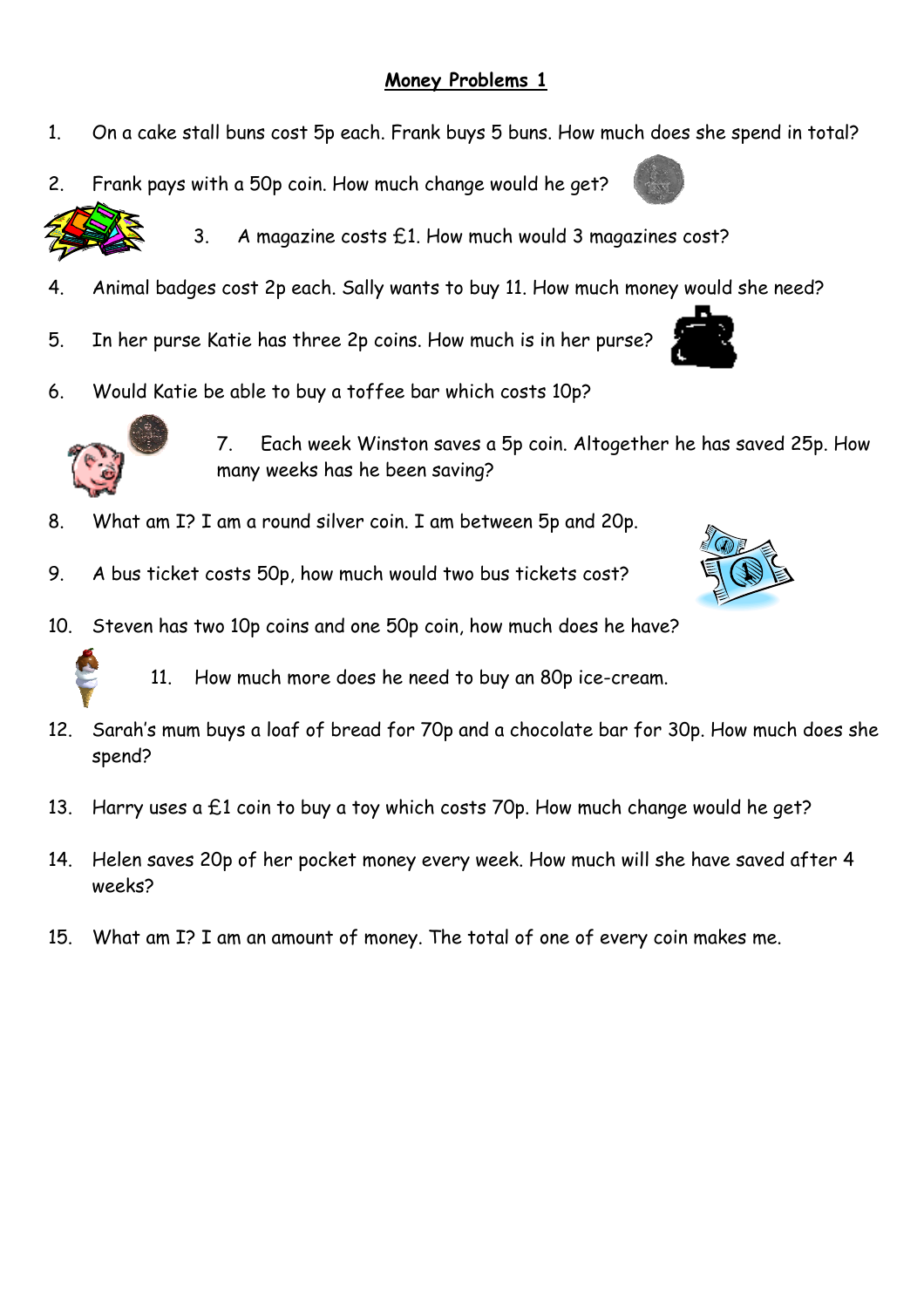#### **Money Problems 1**

- 1. On a cake stall buns cost 5p each. Frank buys 5 buns. How much does she spend in total?
- 2. Frank pays with a 50p coin. How much change would he get?



- 3. A magazine costs £1. How much would 3 magazines cost?
- 4. Animal badges cost 2p each. Sally wants to buy 11. How much money would she need?
- 5. In her purse Katie has three 2p coins. How much is in her purse?
- 6. Would Katie be able to buy a toffee bar which costs 10p?



 7. Each week Winston saves a 5p coin. Altogether he has saved 25p. How many weeks has he been saving?

- 8. What am I? I am a round silver coin. I am between 5p and 20p.
- 9. A bus ticket costs 50p, how much would two bus tickets cost?





11. How much more does he need to buy an 80p ice-cream.

- 12. Sarah's mum buys a loaf of bread for 70p and a chocolate bar for 30p. How much does she spend?
- 13. Harry uses a  $E1$  coin to buy a toy which costs 70p. How much change would he get?
- 14. Helen saves 20p of her pocket money every week. How much will she have saved after 4 weeks?
- 15. What am I? I am an amount of money. The total of one of every coin makes me.